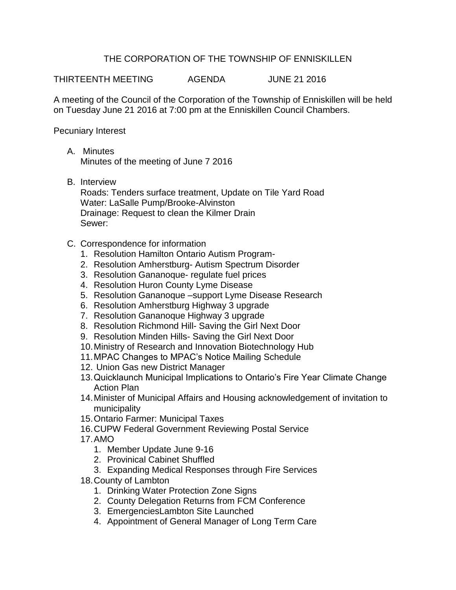## THE CORPORATION OF THE TOWNSHIP OF ENNISKILLEN

THIRTEENTH MEETING AGENDA JUNE 21 2016

A meeting of the Council of the Corporation of the Township of Enniskillen will be held on Tuesday June 21 2016 at 7:00 pm at the Enniskillen Council Chambers.

Pecuniary Interest

- A. Minutes Minutes of the meeting of June 7 2016
- B. Interview

Roads: Tenders surface treatment, Update on Tile Yard Road Water: LaSalle Pump/Brooke-Alvinston Drainage: Request to clean the Kilmer Drain Sewer:

- C. Correspondence for information
	- 1. Resolution Hamilton Ontario Autism Program-
	- 2. Resolution Amherstburg- Autism Spectrum Disorder
	- 3. Resolution Gananoque- regulate fuel prices
	- 4. Resolution Huron County Lyme Disease
	- 5. Resolution Gananoque –support Lyme Disease Research
	- 6. Resolution Amherstburg Highway 3 upgrade
	- 7. Resolution Gananoque Highway 3 upgrade
	- 8. Resolution Richmond Hill- Saving the Girl Next Door
	- 9. Resolution Minden Hills- Saving the Girl Next Door
	- 10.Ministry of Research and Innovation Biotechnology Hub
	- 11.MPAC Changes to MPAC's Notice Mailing Schedule
	- 12. Union Gas new District Manager
	- 13.Quicklaunch Municipal Implications to Ontario's Fire Year Climate Change Action Plan
	- 14.Minister of Municipal Affairs and Housing acknowledgement of invitation to municipality
	- 15.Ontario Farmer: Municipal Taxes
	- 16.CUPW Federal Government Reviewing Postal Service
	- 17.AMO
		- 1. Member Update June 9-16
		- 2. Provinical Cabinet Shuffled
		- 3. Expanding Medical Responses through Fire Services
	- 18.County of Lambton
		- 1. Drinking Water Protection Zone Signs
		- 2. County Delegation Returns from FCM Conference
		- 3. EmergenciesLambton Site Launched
		- 4. Appointment of General Manager of Long Term Care